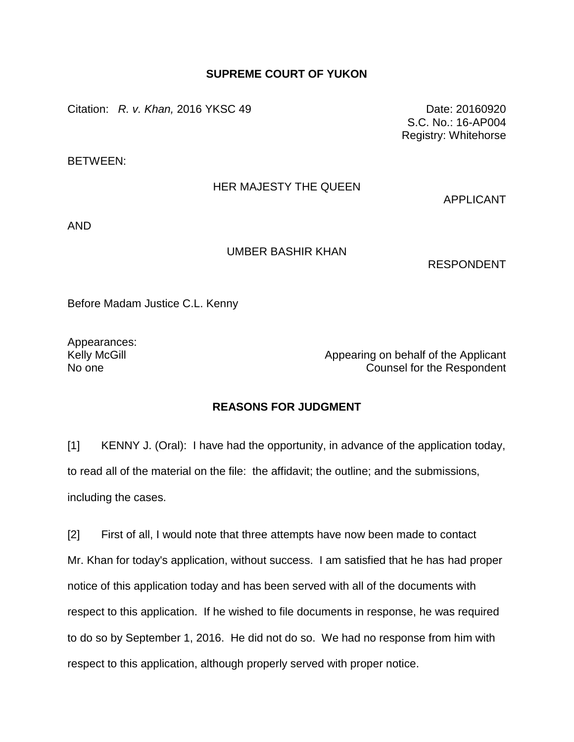## **SUPREME COURT OF YUKON**

Citation: *R. v. Khan*, 2016 YKSC 49 Date: 20160920

S.C. No.: 16-AP004 Registry: Whitehorse

BETWEEN:

## HER MAJESTY THE QUEEN

APPLICANT

AND

## UMBER BASHIR KHAN

RESPONDENT

Before Madam Justice C.L. Kenny

Appearances:

Kelly McGill **Appearing on behalf of the Applicant** No one Counsel for the Respondent

## **REASONS FOR JUDGMENT**

[1] KENNY J. (Oral): I have had the opportunity, in advance of the application today, to read all of the material on the file: the affidavit; the outline; and the submissions, including the cases.

[2] First of all, I would note that three attempts have now been made to contact Mr. Khan for today's application, without success. I am satisfied that he has had proper notice of this application today and has been served with all of the documents with respect to this application. If he wished to file documents in response, he was required to do so by September 1, 2016. He did not do so. We had no response from him with respect to this application, although properly served with proper notice.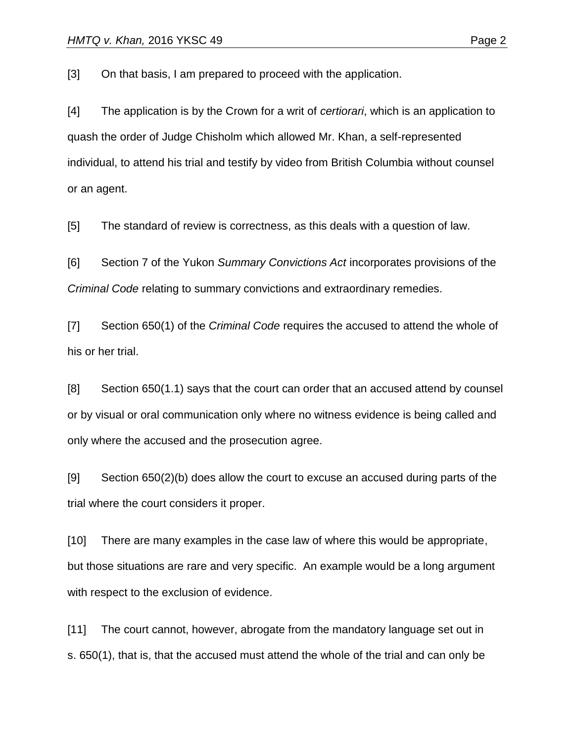[3] On that basis, I am prepared to proceed with the application.

[4] The application is by the Crown for a writ of *certiorari*, which is an application to quash the order of Judge Chisholm which allowed Mr. Khan, a self-represented individual, to attend his trial and testify by video from British Columbia without counsel or an agent.

[5] The standard of review is correctness, as this deals with a question of law.

[6] Section 7 of the Yukon *Summary Convictions Act* incorporates provisions of the *Criminal Code* relating to summary convictions and extraordinary remedies.

[7] Section 650(1) of the *Criminal Code* requires the accused to attend the whole of his or her trial.

[8] Section 650(1.1) says that the court can order that an accused attend by counsel or by visual or oral communication only where no witness evidence is being called and only where the accused and the prosecution agree.

[9] Section 650(2)(b) does allow the court to excuse an accused during parts of the trial where the court considers it proper.

[10] There are many examples in the case law of where this would be appropriate, but those situations are rare and very specific. An example would be a long argument with respect to the exclusion of evidence.

[11] The court cannot, however, abrogate from the mandatory language set out in s. 650(1), that is, that the accused must attend the whole of the trial and can only be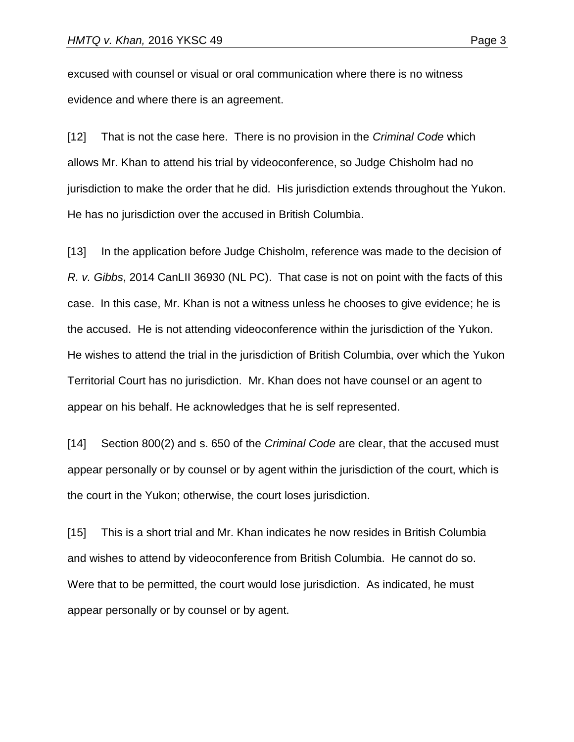excused with counsel or visual or oral communication where there is no witness evidence and where there is an agreement.

[12] That is not the case here. There is no provision in the *Criminal Code* which allows Mr. Khan to attend his trial by videoconference, so Judge Chisholm had no jurisdiction to make the order that he did. His jurisdiction extends throughout the Yukon. He has no jurisdiction over the accused in British Columbia.

[13] In the application before Judge Chisholm, reference was made to the decision of *R. v. Gibbs*, 2014 CanLII 36930 (NL PC). That case is not on point with the facts of this case. In this case, Mr. Khan is not a witness unless he chooses to give evidence; he is the accused. He is not attending videoconference within the jurisdiction of the Yukon. He wishes to attend the trial in the jurisdiction of British Columbia, over which the Yukon Territorial Court has no jurisdiction. Mr. Khan does not have counsel or an agent to appear on his behalf. He acknowledges that he is self represented.

[14] Section 800(2) and s. 650 of the *Criminal Code* are clear, that the accused must appear personally or by counsel or by agent within the jurisdiction of the court, which is the court in the Yukon; otherwise, the court loses jurisdiction.

[15] This is a short trial and Mr. Khan indicates he now resides in British Columbia and wishes to attend by videoconference from British Columbia. He cannot do so. Were that to be permitted, the court would lose jurisdiction. As indicated, he must appear personally or by counsel or by agent.